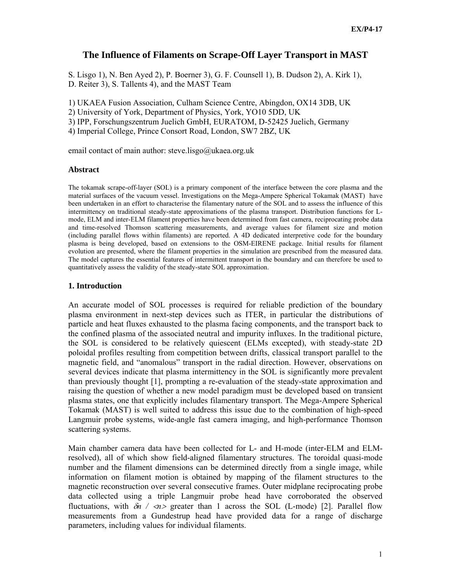# **The Influence of Filaments on Scrape-Off Layer Transport in MAST**

S. Lisgo 1), N. Ben Ayed 2), P. Boerner 3), G. F. Counsell 1), B. Dudson 2), A. Kirk 1), D. Reiter 3), S. Tallents 4), and the MAST Team

1) UKAEA Fusion Association, Culham Science Centre, Abingdon, OX14 3DB, UK

2) University of York, Department of Physics, York, YO10 5DD, UK

3) IPP, Forschungszentrum Juelich GmbH, EURATOM, D-52425 Juelich, Germany

4) Imperial College, Prince Consort Road, London, SW7 2BZ, UK

email contact of main author: steve.lisgo@ukaea.org.uk

### **Abstract**

The tokamak scrape-off-layer (SOL) is a primary component of the interface between the core plasma and the material surfaces of the vacuum vessel. Investigations on the Mega-Ampere Spherical Tokamak (MAST) have been undertaken in an effort to characterise the filamentary nature of the SOL and to assess the influence of this intermittency on traditional steady-state approximations of the plasma transport. Distribution functions for Lmode, ELM and inter-ELM filament properties have been determined from fast camera, reciprocating probe data and time-resolved Thomson scattering measurements, and average values for filament size and motion (including parallel flows within filaments) are reported. A 4D dedicated interpretive code for the boundary plasma is being developed, based on extensions to the OSM-EIRENE package. Initial results for filament evolution are presented, where the filament properties in the simulation are prescribed from the measured data. The model captures the essential features of intermittent transport in the boundary and can therefore be used to quantitatively assess the validity of the steady-state SOL approximation.

## **1. Introduction**

An accurate model of SOL processes is required for reliable prediction of the boundary plasma environment in next-step devices such as ITER, in particular the distributions of particle and heat fluxes exhausted to the plasma facing components, and the transport back to the confined plasma of the associated neutral and impurity influxes. In the traditional picture, the SOL is considered to be relatively quiescent (ELMs excepted), with steady-state 2D poloidal profiles resulting from competition between drifts, classical transport parallel to the magnetic field, and "anomalous" transport in the radial direction. However, observations on several devices indicate that plasma intermittency in the SOL is significantly more prevalent than previously thought [1], prompting a re-evaluation of the steady-state approximation and raising the question of whether a new model paradigm must be developed based on transient plasma states, one that explicitly includes filamentary transport. The Mega-Ampere Spherical Tokamak (MAST) is well suited to address this issue due to the combination of high-speed Langmuir probe systems, wide-angle fast camera imaging, and high-performance Thomson scattering systems.

Main chamber camera data have been collected for L- and H-mode (inter-ELM and ELMresolved), all of which show field-aligned filamentary structures. The toroidal quasi-mode number and the filament dimensions can be determined directly from a single image, while information on filament motion is obtained by mapping of the filament structures to the magnetic reconstruction over several consecutive frames. Outer midplane reciprocating probe data collected using a triple Langmuir probe head have corroborated the observed fluctuations, with δ*n /* <*n*> greater than 1 across the SOL (L-mode) [2]. Parallel flow measurements from a Gundestrup head have provided data for a range of discharge parameters, including values for individual filaments.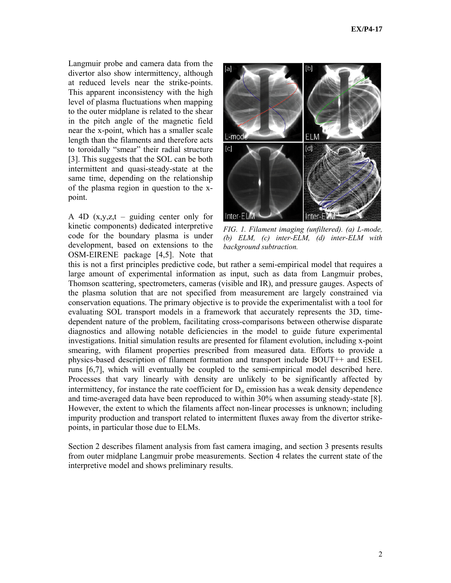Langmuir probe and camera data from the divertor also show intermittency, although at reduced levels near the strike-points. This apparent inconsistency with the high level of plasma fluctuations when mapping to the outer midplane is related to the shear in the pitch angle of the magnetic field near the x-point, which has a smaller scale length than the filaments and therefore acts to toroidally "smear" their radial structure [3]. This suggests that the SOL can be both intermittent and quasi-steady-state at the same time, depending on the relationship of the plasma region in question to the xpoint.

A 4D  $(x,y,z,t -$  guiding center only for kinetic components) dedicated interpretive code for the boundary plasma is under development, based on extensions to the OSM-EIRENE package [4,5]. Note that



*FIG. 1. Filament imaging (unfiltered). (a) L-mode, (b) ELM, (c) inter-ELM, (d) inter-ELM with background subtraction.* 

this is not a first principles predictive code, but rather a semi-empirical model that requires a large amount of experimental information as input, such as data from Langmuir probes, Thomson scattering, spectrometers, cameras (visible and IR), and pressure gauges. Aspects of the plasma solution that are not specified from measurement are largely constrained via conservation equations. The primary objective is to provide the experimentalist with a tool for evaluating SOL transport models in a framework that accurately represents the 3D, timedependent nature of the problem, facilitating cross-comparisons between otherwise disparate diagnostics and allowing notable deficiencies in the model to guide future experimental investigations. Initial simulation results are presented for filament evolution, including x-point smearing, with filament properties prescribed from measured data. Efforts to provide a physics-based description of filament formation and transport include BOUT++ and ESEL runs [6,7], which will eventually be coupled to the semi-empirical model described here. Processes that vary linearly with density are unlikely to be significantly affected by intermittency, for instance the rate coefficient for  $D_\alpha$  emission has a weak density dependence and time-averaged data have been reproduced to within 30% when assuming steady-state [8]. However, the extent to which the filaments affect non-linear processes is unknown; including impurity production and transport related to intermittent fluxes away from the divertor strikepoints, in particular those due to ELMs.

Section 2 describes filament analysis from fast camera imaging, and section 3 presents results from outer midplane Langmuir probe measurements. Section 4 relates the current state of the interpretive model and shows preliminary results.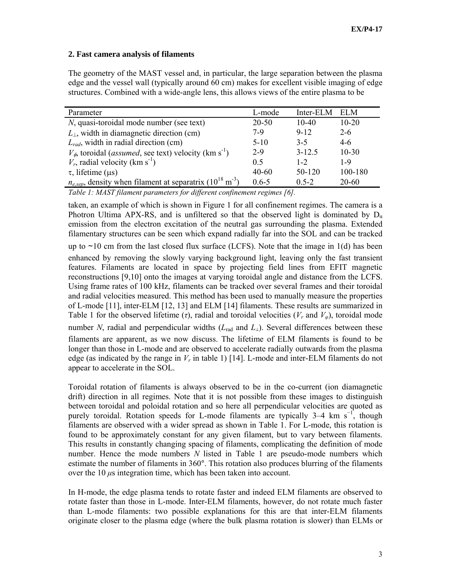# **2. Fast camera analysis of filaments**

The geometry of the MAST vessel and, in particular, the large separation between the plasma edge and the vessel wall (typically around 60 cm) makes for excellent visible imaging of edge structures. Combined with a wide-angle lens, this allows views of the entire plasma to be

| Parameter                                                                             | L-mode    | Inter-ELM  | – ELM     |
|---------------------------------------------------------------------------------------|-----------|------------|-----------|
| <i>N</i> , quasi-toroidal mode number (see text)                                      | 20-50     | $10-40$    | $10 - 20$ |
| $L_{\perp}$ , width in diamagnetic direction (cm)                                     | 7-9       | $9 - 12$   | $2 - 6$   |
| $L_{rad}$ , width in radial direction (cm)                                            | $5 - 10$  | $3 - 5$    | $4-6$     |
| $V_{\phi}$ , toroidal ( <i>assumed</i> , see text) velocity (km s <sup>-1</sup> )     | $2 - 9$   | $3 - 12.5$ | $10 - 30$ |
| $V_r$ , radial velocity (km s <sup>-1</sup> )                                         | 0.5       | $1 - 2$    | $1-9$     |
| $\tau$ , lifetime ( $\mu$ s)                                                          | $40 - 60$ | 50-120     | 100-180   |
| $n_{e,sep}$ , density when filament at separatrix (10 <sup>18</sup> m <sup>-3</sup> ) | $0.6 - 5$ | $0.5 - 2$  | $20 - 60$ |

*Table 1: MAST filament parameters for different confinement regimes [6].* 

taken, an example of which is shown in Figure 1 for all confinement regimes. The camera is a Photron Ultima APX-RS, and is unfiltered so that the observed light is dominated by  $D_{\alpha}$ emission from the electron excitation of the neutral gas surrounding the plasma. Extended filamentary structures can be seen which expand radially far into the SOL and can be tracked

up to ∼10 cm from the last closed flux surface (LCFS). Note that the image in 1(d) has been enhanced by removing the slowly varying background light, leaving only the fast transient features. Filaments are located in space by projecting field lines from EFIT magnetic reconstructions [9,10] onto the images at varying toroidal angle and distance from the LCFS. Using frame rates of 100 kHz, filaments can be tracked over several frames and their toroidal and radial velocities measured. This method has been used to manually measure the properties of L-mode [11], inter-ELM [12, 13] and ELM [14] filaments. These results are summarized in Table 1 for the observed lifetime ( $\tau$ ), radial and toroidal velocities ( $V_r$  and  $V_\varphi$ ), toroidal mode number *N*, radial and perpendicular widths (*L*rad and *L*⊥). Several differences between these filaments are apparent, as we now discuss. The lifetime of ELM filaments is found to be longer than those in L-mode and are observed to accelerate radially outwards from the plasma edge (as indicated by the range in  $V_r$  in table 1) [14]. L-mode and inter-ELM filaments do not appear to accelerate in the SOL.

Toroidal rotation of filaments is always observed to be in the co-current (ion diamagnetic drift) direction in all regimes. Note that it is not possible from these images to distinguish between toroidal and poloidal rotation and so here all perpendicular velocities are quoted as purely toroidal. Rotation speeds for L-mode filaments are typically  $3-4$  km s<sup>-1</sup>, though filaments are observed with a wider spread as shown in Table 1. For L-mode, this rotation is found to be approximately constant for any given filament, but to vary between filaments. This results in constantly changing spacing of filaments, complicating the definition of mode number. Hence the mode numbers *N* listed in Table 1 are pseudo-mode numbers which estimate the number of filaments in 360°. This rotation also produces blurring of the filaments over the  $10 \mu s$  integration time, which has been taken into account.

In H-mode, the edge plasma tends to rotate faster and indeed ELM filaments are observed to rotate faster than those in L-mode. Inter-ELM filaments, however, do not rotate much faster than L-mode filaments: two possible explanations for this are that inter-ELM filaments originate closer to the plasma edge (where the bulk plasma rotation is slower) than ELMs or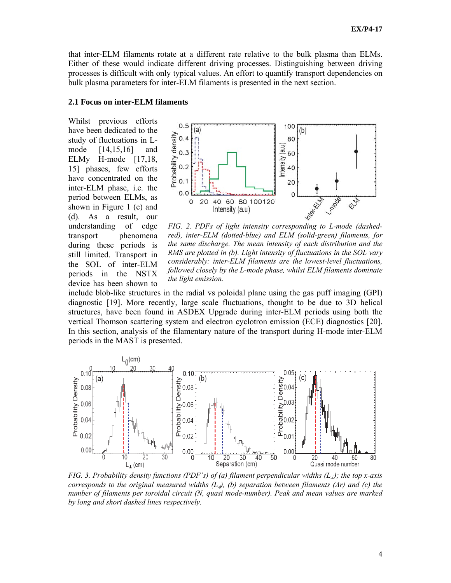that inter-ELM filaments rotate at a different rate relative to the bulk plasma than ELMs. Either of these would indicate different driving processes. Distinguishing between driving processes is difficult with only typical values. An effort to quantify transport dependencies on bulk plasma parameters for inter-ELM filaments is presented in the next section.

## **2.1 Focus on inter-ELM filaments**

Whilst previous efforts have been dedicated to the study of fluctuations in Lmode [14,15,16] and ELMy H-mode [17,18, 15] phases, few efforts have concentrated on the inter-ELM phase, i.e. the period between ELMs, as shown in Figure 1 (c) and (d). As a result, our understanding of edge transport phenomena during these periods is still limited. Transport in the SOL of inter-ELM periods in the NSTX device has been shown to



*red), inter-ELM (dotted-blue) and ELM (solid-green) filaments, for the same discharge. The mean intensity of each distribution and the RMS are plotted in (b). Light intensity of fluctuations in the SOL vary considerably: inter-ELM filaments are the lowest-level fluctuations, followed closely by the L-mode phase, whilst ELM filaments dominate the light emission.* 

include blob-like structures in the radial vs poloidal plane using the gas puff imaging (GPI) diagnostic [19]. More recently, large scale fluctuations, thought to be due to 3D helical structures, have been found in ASDEX Upgrade during inter-ELM periods using both the vertical Thomson scattering system and electron cyclotron emission (ECE) diagnostics [20]. In this section, analysis of the filamentary nature of the transport during H-mode inter-ELM periods in the MAST is presented.



*FIG. 3. Probability density functions (PDF's) of (a) filament perpendicular widths (L*⊥*); the top x-axis corresponds to the original measured widths*  $(L_{\phi})$ *, (b) separation between filaments (* $\Delta r$ *) and (c) the number of filaments per toroidal circuit (N, quasi mode-number). Peak and mean values are marked by long and short dashed lines respectively.*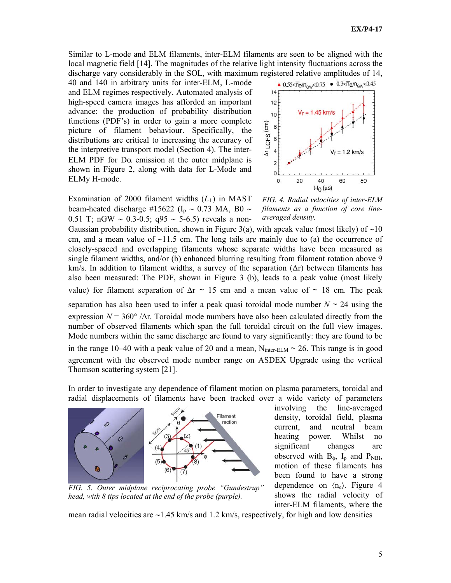Similar to L-mode and ELM filaments, inter-ELM filaments are seen to be aligned with the local magnetic field [14]. The magnitudes of the relative light intensity fluctuations across the discharge vary considerably in the SOL, with maximum registered relative amplitudes of 14,

40 and 140 in arbitrary units for inter-ELM, L-mode and ELM regimes respectively. Automated analysis of high-speed camera images has afforded an important advance: the production of probability distribution functions (PDF's) in order to gain a more complete picture of filament behaviour. Specifically, the distributions are critical to increasing the accuracy of the interpretive transport model (Section 4). The inter-ELM PDF for  $D\alpha$  emission at the outer midplane is shown in Figure 2, along with data for L-Mode and ELMy H-mode.

Examination of 2000 filament widths (*L*⊥) in MAST beam-heated discharge #15622 (I<sub>p</sub> ~ 0.73 MA, B0 ~ 0.51 T; nGW ∼ 0.3-0.5; q95 ∼ 5-6.5) reveals a non-



*FIG. 4. Radial velocities of inter-ELM filaments as a function of core lineaveraged density.* 

Gaussian probability distribution, shown in Figure 3(a), with apeak value (most likely) of ~10 cm, and a mean value of ∼11.5 cm. The long tails are mainly due to (a) the occurrence of closely-spaced and overlapping filaments whose separate widths have been measured as single filament widths, and/or (b) enhanced blurring resulting from filament rotation above 9 km/s. In addition to filament widths, a survey of the separation (∆r) between filaments has also been measured: The PDF, shown in Figure 3 (b), leads to a peak value (most likely value) for filament separation of ∆r ∼ 15 cm and a mean value of ∼ 18 cm. The peak separation has also been used to infer a peak quasi toroidal mode number *N* ∼ 24 using the expression  $N = 360^{\circ}$  / $\Delta$ r. Toroidal mode numbers have also been calculated directly from the number of observed filaments which span the full toroidal circuit on the full view images. Mode numbers within the same discharge are found to vary significantly: they are found to be in the range 10–40 with a peak value of 20 and a mean,  $N_{inter-ELM}$  ~ 26. This range is in good agreement with the observed mode number range on ASDEX Upgrade using the vertical Thomson scattering system [21].

In order to investigate any dependence of filament motion on plasma parameters, toroidal and radial displacements of filaments have been tracked over a wide variety of parameters



density, toroidal field, plasma current, and neutral beam heating power. Whilst no significant changes are observed with  $B_{\phi}$ ,  $I_p$  and  $P_{NBI}$ , motion of these filaments has been found to have a strong dependence on  $\langle n_e \rangle$ . Figure 4 shows the radial velocity of inter-ELM filaments, where the

involving the line-averaged

*FIG. 5. Outer midplane reciprocating probe "Gundestrup" head, with 8 tips located at the end of the probe (purple).* 

mean radial velocities are ∼1.45 km/s and 1.2 km/s, respectively, for high and low densities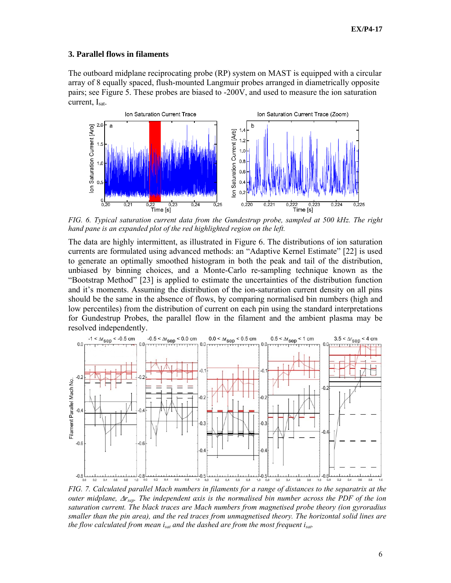## **3. Parallel flows in filaments**

The outboard midplane reciprocating probe (RP) system on MAST is equipped with a circular array of 8 equally spaced, flush-mounted Langmuir probes arranged in diametrically opposite pairs; see Figure 5. These probes are biased to -200V, and used to measure the ion saturation current, I<sub>sat</sub>.



*FIG. 6. Typical saturation current data from the Gundestrup probe, sampled at 500 kHz. The right hand pane is an expanded plot of the red highlighted region on the left.* 

The data are highly intermittent, as illustrated in Figure 6. The distributions of ion saturation currents are formulated using advanced methods: an "Adaptive Kernel Estimate" [22] is used to generate an optimally smoothed histogram in both the peak and tail of the distribution, unbiased by binning choices, and a Monte-Carlo re-sampling technique known as the "Bootstrap Method" [23] is applied to estimate the uncertainties of the distribution function and it's moments. Assuming the distribution of the ion-saturation current density on all pins should be the same in the absence of flows, by comparing normalised bin numbers (high and low percentiles) from the distribution of current on each pin using the standard interpretations for Gundestrup Probes, the parallel flow in the filament and the ambient plasma may be resolved independently.



*FIG. 7. Calculated parallel Mach numbers in filaments for a range of distances to the separatrix at the outer midplane,* ∆*rsep. The independent axis is the normalised bin number across the PDF of the ion saturation current. The black traces are Mach numbers from magnetised probe theory (ion gyroradius smaller than the pin area), and the red traces from unmagnetised theory. The horizontal solid lines are the flow calculated from mean isat and the dashed are from the most frequent isat.*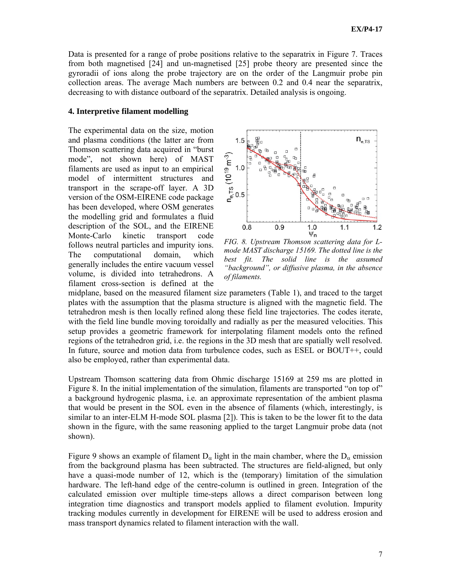Data is presented for a range of probe positions relative to the separatrix in Figure 7. Traces from both magnetised [24] and un-magnetised [25] probe theory are presented since the gyroradii of ions along the probe trajectory are on the order of the Langmuir probe pin collection areas. The average Mach numbers are between 0.2 and 0.4 near the separatrix, decreasing to with distance outboard of the separatrix. Detailed analysis is ongoing.

### **4. Interpretive filament modelling**

The experimental data on the size, motion and plasma conditions (the latter are from Thomson scattering data acquired in "burst mode", not shown here) of MAST filaments are used as input to an empirical model of intermittent structures and transport in the scrape-off layer. A 3D version of the OSM-EIRENE code package has been developed, where OSM generates the modelling grid and formulates a fluid description of the SOL, and the EIRENE Monte-Carlo kinetic transport code follows neutral particles and impurity ions. The computational domain, which generally includes the entire vacuum vessel volume, is divided into tetrahedrons. A filament cross-section is defined at the



*FIG. 8. Upstream Thomson scattering data for Lmode MAST discharge 15169. The dotted line is the best fit. The solid line is the assumed "background", or diffusive plasma, in the absence of filaments.* 

midplane, based on the measured filament size parameters (Table 1), and traced to the target plates with the assumption that the plasma structure is aligned with the magnetic field. The tetrahedron mesh is then locally refined along these field line trajectories. The codes iterate, with the field line bundle moving toroidally and radially as per the measured velocities. This setup provides a geometric framework for interpolating filament models onto the refined regions of the tetrahedron grid, i.e. the regions in the 3D mesh that are spatially well resolved. In future, source and motion data from turbulence codes, such as ESEL or BOUT++, could also be employed, rather than experimental data.

Upstream Thomson scattering data from Ohmic discharge 15169 at 259 ms are plotted in Figure 8. In the initial implementation of the simulation, filaments are transported "on top of" a background hydrogenic plasma, i.e. an approximate representation of the ambient plasma that would be present in the SOL even in the absence of filaments (which, interestingly, is similar to an inter-ELM H-mode SOL plasma [2]). This is taken to be the lower fit to the data shown in the figure, with the same reasoning applied to the target Langmuir probe data (not shown).

Figure 9 shows an example of filament  $D_{\alpha}$  light in the main chamber, where the  $D_{\alpha}$  emission from the background plasma has been subtracted. The structures are field-aligned, but only have a quasi-mode number of 12, which is the (temporary) limitation of the simulation hardware. The left-hand edge of the centre-column is outlined in green. Integration of the calculated emission over multiple time-steps allows a direct comparison between long integration time diagnostics and transport models applied to filament evolution. Impurity tracking modules currently in development for EIRENE will be used to address erosion and mass transport dynamics related to filament interaction with the wall.